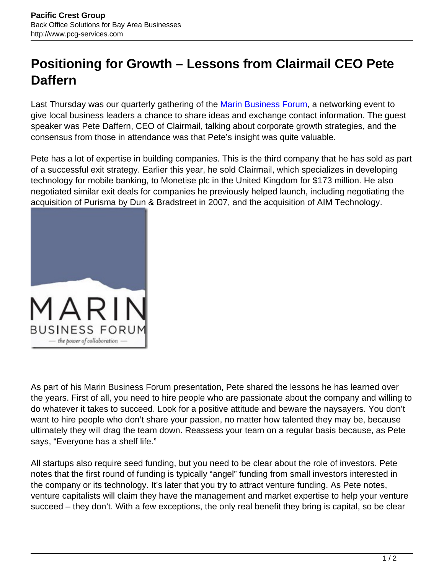## **Positioning for Growth – Lessons from Clairmail CEO Pete Daffern**

Last Thursday was our quarterly gathering of the **Marin Business Forum**, a networking event to give local business leaders a chance to share ideas and exchange contact information. The guest speaker was Pete Daffern, CEO of Clairmail, talking about corporate growth strategies, and the consensus from those in attendance was that Pete's insight was quite valuable.

Pete has a lot of expertise in building companies. This is the third company that he has sold as part of a successful exit strategy. Earlier this year, he sold Clairmail, which specializes in developing technology for mobile banking, to Monetise plc in the United Kingdom for \$173 million. He also negotiated similar exit deals for companies he previously helped launch, including negotiating the acquisition of Purisma by Dun & Bradstreet in 2007, and the acquisition of AIM Technology.



As part of his Marin Business Forum presentation, Pete shared the lessons he has learned over the years. First of all, you need to hire people who are passionate about the company and willing to do whatever it takes to succeed. Look for a positive attitude and beware the naysayers. You don't want to hire people who don't share your passion, no matter how talented they may be, because ultimately they will drag the team down. Reassess your team on a regular basis because, as Pete says, "Everyone has a shelf life."

All startups also require seed funding, but you need to be clear about the role of investors. Pete notes that the first round of funding is typically "angel" funding from small investors interested in the company or its technology. It's later that you try to attract venture funding. As Pete notes, venture capitalists will claim they have the management and market expertise to help your venture succeed – they don't. With a few exceptions, the only real benefit they bring is capital, so be clear